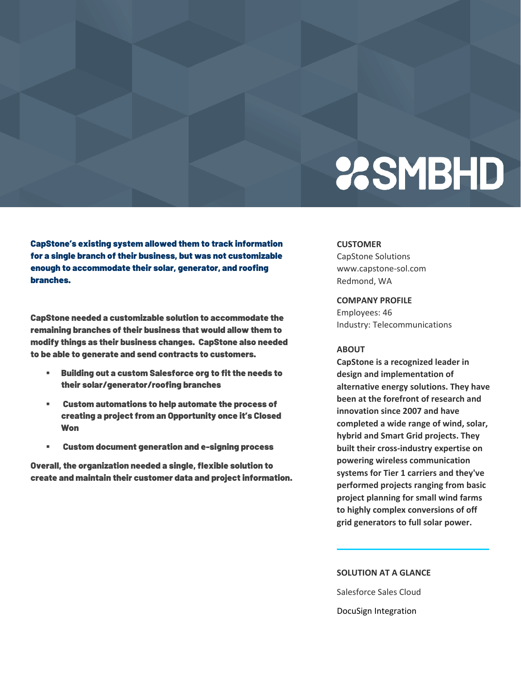# **23SMBHD**

CapStone's existing system allowed them to track information for a single branch of their business, but was not customizable enough to accommodate their solar, generator, and roofing branches.

CapStone needed a customizable solution to accommodate the remaining branches of their business that would allow them to modify things as their business changes. CapStone also needed to be able to generate and send contracts to customers.

- Building out a custom Salesforce org to fit the needs to their solar/generator/roofing branches
- Custom automations to help automate the process of creating a project from an Opportunity once it's Closed Won
- Custom document generation and e-signing process

Overall, the organization needed a single, flexible solution to create and maintain their customer data and project information.

#### **CUSTOMER**

CapStone Solutions www.capstone-sol.com Redmond, WA

**COMPANY PROFILE**

Employees: 46 Industry: Telecommunications

### **ABOUT**

**CapStone is a recognized leader in design and implementation of alternative energy solutions. They have been at the forefront of research and innovation since 2007 and have completed a wide range of wind, solar, hybrid and Smart Grid projects. They built their cross-industry expertise on powering wireless communication systems for Tier 1 carriers and they've performed projects ranging from basic project planning for small wind farms to highly complex conversions of off grid generators to full solar power.**

### **SOLUTION AT A GLANCE**

Salesforce Sales Cloud DocuSign Integration